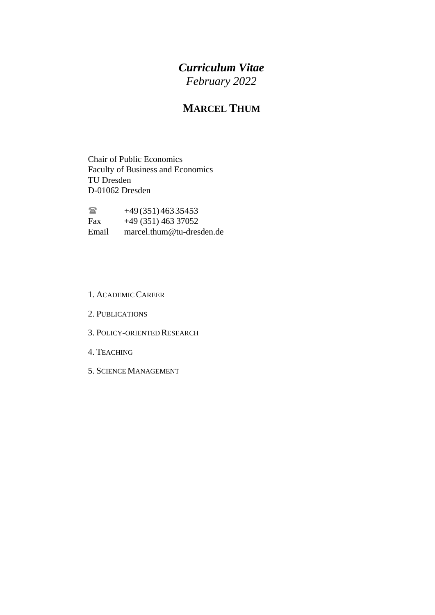# *Curriculum Vitae February 2022*

# **MARCEL THUM**

Chair of Public Economics Faculty of Business and Economics TU Dresden D-01062 Dresden

 $+49(351)46335453$ <br>Fax  $+49(351)46337052$ +49 (351) 463 37052 Email [marcel.thum@tu-dresden.de](mailto:marcel.thum@tu-dresden.de)

#### 1. ACADEMIC CAREER

- 2. PUBLICATIONS
- 3. POLICY-ORIENTED RESEARCH
- 4. TEACHING
- 5. SCIENCE MANAGEMENT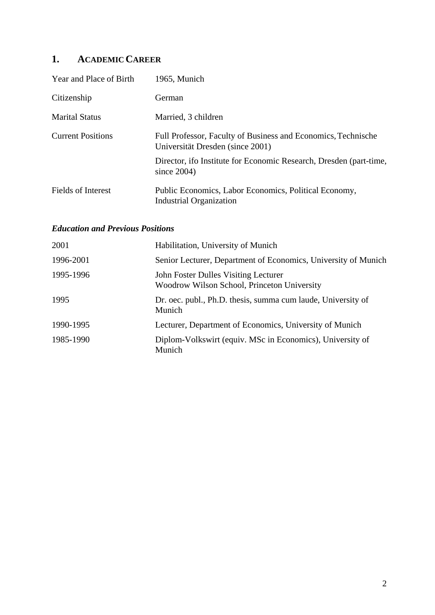# **1. ACADEMIC CAREER**

| Year and Place of Birth   | 1965, Munich                                                                                      |
|---------------------------|---------------------------------------------------------------------------------------------------|
| Citizenship               | German                                                                                            |
| <b>Marital Status</b>     | Married, 3 children                                                                               |
| <b>Current Positions</b>  | Full Professor, Faculty of Business and Economics, Technische<br>Universität Dresden (since 2001) |
|                           | Director, if a Institute for Economic Research, Dresden (part-time,<br>since $2004$ )             |
| <b>Fields of Interest</b> | Public Economics, Labor Economics, Political Economy,<br><b>Industrial Organization</b>           |

### *Education and Previous Positions*

| 2001      | Habilitation, University of Munich                                                  |
|-----------|-------------------------------------------------------------------------------------|
| 1996-2001 | Senior Lecturer, Department of Economics, University of Munich                      |
| 1995-1996 | John Foster Dulles Visiting Lecturer<br>Woodrow Wilson School, Princeton University |
| 1995      | Dr. oec. publ., Ph.D. thesis, summa cum laude, University of<br>Munich              |
| 1990-1995 | Lecturer, Department of Economics, University of Munich                             |
| 1985-1990 | Diplom-Volkswirt (equiv. MSc in Economics), University of<br>Munich                 |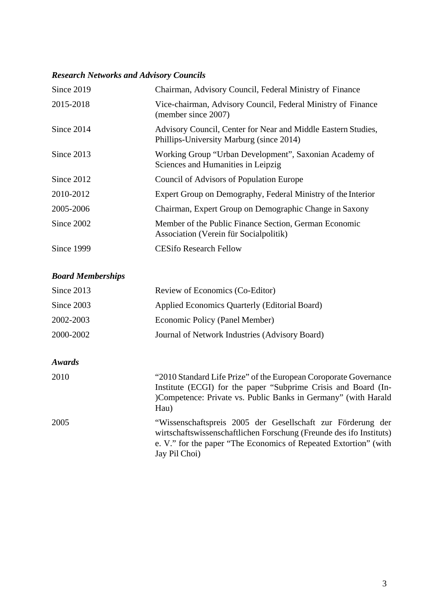# *Research Networks and Advisory Councils*

| Since 2019 | Chairman, Advisory Council, Federal Ministry of Finance                                                   |
|------------|-----------------------------------------------------------------------------------------------------------|
| 2015-2018  | Vice-chairman, Advisory Council, Federal Ministry of Finance<br>(member since 2007)                       |
| Since 2014 | Advisory Council, Center for Near and Middle Eastern Studies,<br>Phillips-University Marburg (since 2014) |
| Since 2013 | Working Group "Urban Development", Saxonian Academy of<br>Sciences and Humanities in Leipzig              |
| Since 2012 | Council of Advisors of Population Europe                                                                  |
| 2010-2012  | Expert Group on Demography, Federal Ministry of the Interior                                              |
| 2005-2006  | Chairman, Expert Group on Demographic Change in Saxony                                                    |
| Since 2002 | Member of the Public Finance Section, German Economic<br>Association (Verein für Socialpolitik)           |
| Since 1999 | <b>CESifo Research Fellow</b>                                                                             |

# *Board Memberships*

| Review of Economics (Co-Editor)                                                                                                                                                                                         |
|-------------------------------------------------------------------------------------------------------------------------------------------------------------------------------------------------------------------------|
| Applied Economics Quarterly (Editorial Board)                                                                                                                                                                           |
| Economic Policy (Panel Member)                                                                                                                                                                                          |
| Journal of Network Industries (Advisory Board)                                                                                                                                                                          |
|                                                                                                                                                                                                                         |
|                                                                                                                                                                                                                         |
| "2010 Standard Life Prize" of the European Coroporate Governance<br>Institute (ECGI) for the paper "Subprime Crisis and Board (In-<br>)Competence: Private vs. Public Banks in Germany" (with Harald<br>Hau)            |
| "Wissenschaftspreis 2005 der Gesellschaft zur Förderung der<br>wirtschaftswissenschaftlichen Forschung (Freunde des ifo Instituts)<br>e. V." for the paper "The Economics of Repeated Extortion" (with<br>Jay Pil Choi) |
|                                                                                                                                                                                                                         |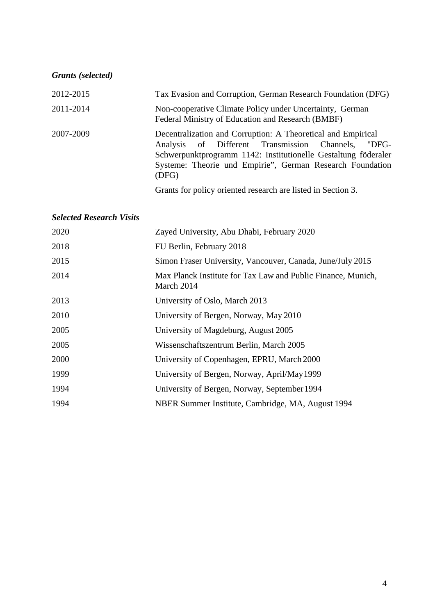| <b>Grants</b> (selected)        |                                                                                                                                                                                                                                                                           |
|---------------------------------|---------------------------------------------------------------------------------------------------------------------------------------------------------------------------------------------------------------------------------------------------------------------------|
| 2012-2015                       | Tax Evasion and Corruption, German Research Foundation (DFG)                                                                                                                                                                                                              |
| 2011-2014                       | Non-cooperative Climate Policy under Uncertainty, German<br>Federal Ministry of Education and Research (BMBF)                                                                                                                                                             |
| 2007-2009                       | Decentralization and Corruption: A Theoretical and Empirical<br>Different<br>Transmission<br>Analysis<br>of<br>Channels.<br>"DFG-<br>Schwerpunktprogramm 1142: Institutionelle Gestaltung föderaler<br>Systeme: Theorie und Empirie", German Research Foundation<br>(DFG) |
|                                 | Grants for policy oriented research are listed in Section 3.                                                                                                                                                                                                              |
| <b>Selected Research Visits</b> |                                                                                                                                                                                                                                                                           |
| 2020                            | Zayed University, Abu Dhabi, February 2020                                                                                                                                                                                                                                |
| 2018                            | FU Berlin, February 2018                                                                                                                                                                                                                                                  |
| 2015                            | Simon Fraser University, Vancouver, Canada, June/July 2015                                                                                                                                                                                                                |
| 2014                            | Max Planck Institute for Tax Law and Public Finance, Munich,<br>March 2014                                                                                                                                                                                                |
| 2013                            | University of Oslo, March 2013                                                                                                                                                                                                                                            |
| 2010                            | University of Bergen, Norway, May 2010                                                                                                                                                                                                                                    |
| 2005                            | University of Magdeburg, August 2005                                                                                                                                                                                                                                      |
| 2005                            | Wissenschaftszentrum Berlin, March 2005                                                                                                                                                                                                                                   |
| 2000                            | University of Copenhagen, EPRU, March 2000                                                                                                                                                                                                                                |
| 1999                            | University of Bergen, Norway, April/May 1999                                                                                                                                                                                                                              |
| 1994                            | University of Bergen, Norway, September 1994                                                                                                                                                                                                                              |
| 1994                            | NBER Summer Institute, Cambridge, MA, August 1994                                                                                                                                                                                                                         |
|                                 |                                                                                                                                                                                                                                                                           |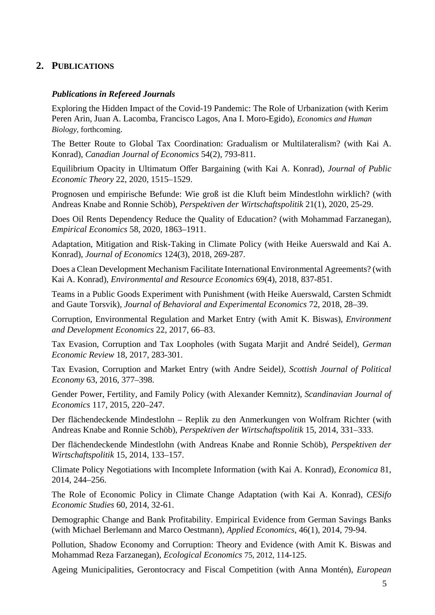## **2. PUBLICATIONS**

### *Publications in Refereed Journals*

Exploring the Hidden Impact of the Covid-19 Pandemic: The Role of Urbanization (with Kerim Peren Arin, Juan A. Lacomba, Francisco Lagos, Ana I. Moro-Egido), *Economics and Human Biology*, forthcoming.

The Better Route to Global Tax Coordination: Gradualism or Multilateralism? (with Kai A. Konrad), *Canadian Journal of Economics* 54(2), 793-811.

Equilibrium Opacity in Ultimatum Offer Bargaining (with Kai A. Konrad), *Journal of Public Economic Theory* 22, 2020, 1515–1529.

Prognosen und empirische Befunde: Wie groß ist die Kluft beim Mindestlohn wirklich? (with Andreas Knabe and Ronnie Schöb), *Perspektiven der Wirtschaftspolitik* 21(1), 2020, 25-29.

Does Oil Rents Dependency Reduce the Quality of Education? (with Mohammad Farzanegan), *Empirical Economics* 58, 2020, 1863–1911.

Adaptation, Mitigation and Risk-Taking in Climate Policy (with Heike Auerswald and Kai A. Konrad), *Journal of Economics* 124(3), 2018, 269-287.

Does a Clean Development Mechanism Facilitate International Environmental Agreements? (with Kai A. Konrad), *Environmental and Resource Economics* 69(4), 2018, 837-851.

Teams in a Public Goods Experiment with Punishment (with Heike Auerswald, Carsten Schmidt and Gaute Torsvik), *Journal of Behavioral and Experimental Economics* 72, 2018, 28–39.

Corruption, Environmental Regulation and Market Entry (with Amit K. Biswas), *Environment and Development Economics* 22, 2017, 66–83.

Tax Evasion, Corruption and Tax Loopholes (with Sugata Marjit and André Seidel), *German Economic Review* 18, 2017, 283-301.

Tax Evasion, Corruption and Market Entry (with Andre Seidel*), Scottish Journal of Political Economy* 63, 2016, 377–398.

Gender Power, Fertility, and Family Policy (with Alexander Kemnitz), *Scandinavian Journal of Economics* 117, 2015, 220–247.

Der flächendeckende Mindestlohn – Replik zu den Anmerkungen von Wolfram Richter (with Andreas Knabe and Ronnie Schöb), *Perspektiven der Wirtschaftspolitik* 15, 2014, 331–333.

Der flächendeckende Mindestlohn (with Andreas Knabe and Ronnie Schöb), *Perspektiven der Wirtschaftspolitik* 15, 2014, 133–157.

Climate Policy Negotiations with Incomplete Information (with Kai A. Konrad), *Economica* 81, 2014, 244–256.

The Role of Economic Policy in Climate Change Adaptation (with Kai A. Konrad), *CESifo Economic Studies* 60, 2014, 32-61.

Demographic Change and Bank Profitability. Empirical Evidence from German Savings Banks (with Michael Berlemann and Marco Oestmann), *Applied Economics*, 46(1), 2014, 79-94.

Pollution, Shadow Economy and Corruption: Theory and Evidence (with Amit K. Biswas and Mohammad Reza Farzanegan), *Ecological Economics* 75, 2012, 114-125.

Ageing Municipalities, Gerontocracy and Fiscal Competition (with Anna Montén), *European*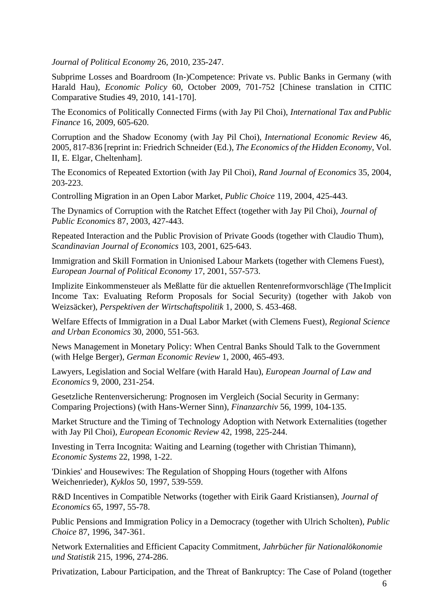*Journal of Political Economy* 26, 2010*,* 235-247.

Subprime Losses and Boardroom (In-)Competence: Private vs. Public Banks in Germany (with Harald Hau), *Economic Policy* 60, October 2009, 701-752 [Chinese translation in CITIC Comparative Studies 49, 2010, 141-170].

The Economics of Politically Connected Firms (with Jay Pil Choi), *International Tax andPublic Finance* 16, 2009, 605-620.

Corruption and the Shadow Economy (with Jay Pil Choi), *International Economic Review* 46, 2005, 817-836 [reprint in: Friedrich Schneider (Ed.), *The Economics of the Hidden Economy*, Vol. II, E. Elgar, Cheltenham].

The Economics of Repeated Extortion (with Jay Pil Choi), *Rand Journal of Economics* 35, 2004, 203-223.

Controlling Migration in an Open Labor Market, *Public Choice* 119, 2004, 425-443.

The Dynamics of Corruption with the Ratchet Effect (together with Jay Pil Choi), *Journal of Public Economics* 87, 2003, 427-443.

Repeated Interaction and the Public Provision of Private Goods (together with Claudio Thum), *Scandinavian Journal of Economics* 103, 2001, 625-643.

Immigration and Skill Formation in Unionised Labour Markets (together with Clemens Fuest), *European Journal of Political Economy* 17, 2001, 557-573.

Implizite Einkommensteuer als Meßlatte für die aktuellen Rentenreformvorschläge (TheImplicit Income Tax: Evaluating Reform Proposals for Social Security) (together with Jakob von Weizsäcker), *Perspektiven der Wirtschaftspolitik* 1, 2000, S. 453-468.

Welfare Effects of Immigration in a Dual Labor Market (with Clemens Fuest), *Regional Science and Urban Economics* 30, 2000, 551-563.

News Management in Monetary Policy: When Central Banks Should Talk to the Government (with Helge Berger), *German Economic Review* 1, 2000, 465-493.

Lawyers, Legislation and Social Welfare (with Harald Hau), *European Journal of Law and Economics* 9, 2000, 231-254.

Gesetzliche Rentenversicherung: Prognosen im Vergleich (Social Security in Germany: Comparing Projections) (with Hans-Werner Sinn), *Finanzarchiv* 56, 1999, 104-135.

Market Structure and the Timing of Technology Adoption with Network Externalities (together with Jay Pil Choi), *European Economic Review* 42, 1998, 225-244.

Investing in Terra Incognita: Waiting and Learning (together with Christian Thimann), *Economic Systems* 22, 1998, 1-22.

'Dinkies' and Housewives: The Regulation of Shopping Hours (together with Alfons Weichenrieder), *Kyklos* 50, 1997, 539-559.

R&D Incentives in Compatible Networks (together with Eirik Gaard Kristiansen), *Journal of Economics* 65, 1997, 55-78.

Public Pensions and Immigration Policy in a Democracy (together with Ulrich Scholten), *Public Choice* 87, 1996, 347-361.

Network Externalities and Efficient Capacity Commitment, *Jahrbücher für Nationalökonomie und Statistik* 215, 1996, 274-286.

Privatization, Labour Participation, and the Threat of Bankruptcy: The Case of Poland (together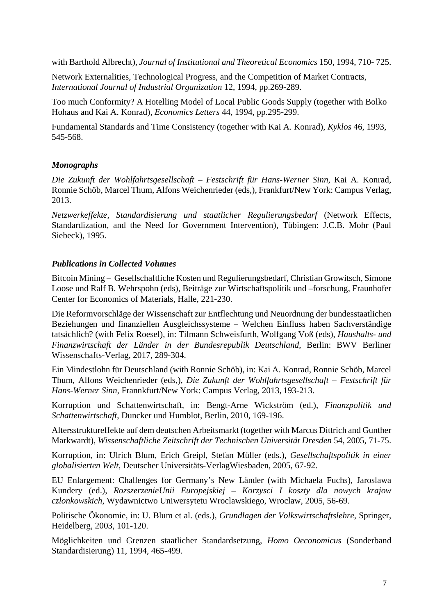with Barthold Albrecht), *Journal of Institutional and Theoretical Economics* 150, 1994, 710- 725.

Network Externalities, Technological Progress, and the Competition of Market Contracts, *International Journal of Industrial Organization* 12, 1994, pp.269-289.

Too much Conformity? A Hotelling Model of Local Public Goods Supply (together with Bolko Hohaus and Kai A. Konrad), *Economics Letters* 44, 1994, pp.295-299.

Fundamental Standards and Time Consistency (together with Kai A. Konrad), *Kyklos* 46, 1993, 545-568.

#### *Monographs*

*Die Zukunft der Wohlfahrtsgesellschaft – Festschrift für Hans-Werner Sinn*, Kai A. Konrad, Ronnie Schöb, Marcel Thum, Alfons Weichenrieder (eds,), Frankfurt/New York: Campus Verlag, 2013.

*Netzwerkeffekte, Standardisierung und staatlicher Regulierungsbedarf* (Network Effects, Standardization, and the Need for Government Intervention), Tübingen: J.C.B. Mohr (Paul Siebeck), 1995.

#### *Publications in Collected Volumes*

Bitcoin Mining – Gesellschaftliche Kosten und Regulierungsbedarf, Christian Growitsch, Simone Loose und Ralf B. Wehrspohn (eds), Beiträge zur Wirtschaftspolitik und –forschung, Fraunhofer Center for Economics of Materials, Halle, 221-230.

Die Reformvorschläge der Wissenschaft zur Entflechtung und Neuordnung der bundesstaatlichen Beziehungen und finanziellen Ausgleichssysteme – Welchen Einfluss haben Sachverständige tatsächlich? (with Felix Roesel), in: Tilmann Schweisfurth, Wolfgang Voß (eds), *Haushalts- und Finanzwirtschaft der Länder in der Bundesrepublik Deutschland*, Berlin: BWV Berliner Wissenschafts-Verlag, 2017, 289-304.

Ein Mindestlohn für Deutschland (with Ronnie Schöb), in: Kai A. Konrad, Ronnie Schöb, Marcel Thum, Alfons Weichenrieder (eds,), *Die Zukunft der Wohlfahrtsgesellschaft – Festschrift für Hans-Werner Sinn*, Frannkfurt/New York: Campus Verlag, 2013, 193-213.

Korruption und Schattenwirtschaft, in: Bengt-Arne Wickström (ed.), *Finanzpolitik und Schattenwirtschaft*, Duncker und Humblot, Berlin, 2010, 169-196.

Altersstruktureffekte auf dem deutschen Arbeitsmarkt (together with Marcus Dittrich and Gunther Markwardt), *Wissenschaftliche Zeitschrift der Technischen Universität Dresden* 54, 2005, 71-75.

Korruption, in: Ulrich Blum, Erich Greipl, Stefan Müller (eds.), *Gesellschaftspolitik in einer globalisierten Welt*, Deutscher Universitäts-VerlagWiesbaden, 2005, 67-92.

EU Enlargement: Challenges for Germany's New Länder (with Michaela Fuchs), Jaroslawa Kundery (ed.), *RozszerzenieUnii Europejskiej – Korzysci I koszty dla nowych krajow czlonkowskich*, Wydawnictwo Uniwersytetu Wroclawskiego, Wroclaw, 2005, 56-69.

Politische Ökonomie, in: U. Blum et al. (eds.), *Grundlagen der Volkswirtschaftslehre*, Springer, Heidelberg, 2003, 101-120.

Möglichkeiten und Grenzen staatlicher Standardsetzung, *Homo Oeconomicus* (Sonderband Standardisierung) 11, 1994, 465-499.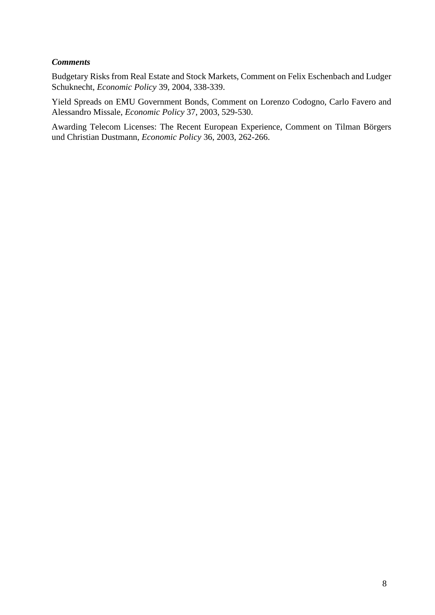#### *Comments*

Budgetary Risks from Real Estate and Stock Markets, Comment on Felix Eschenbach and Ludger Schuknecht, *Economic Policy* 39, 2004, 338-339.

Yield Spreads on EMU Government Bonds, Comment on Lorenzo Codogno, Carlo Favero and Alessandro Missale, *Economic Policy* 37, 2003, 529-530.

Awarding Telecom Licenses: The Recent European Experience, Comment on Tilman Börgers und Christian Dustmann, *Economic Policy* 36, 2003, 262-266.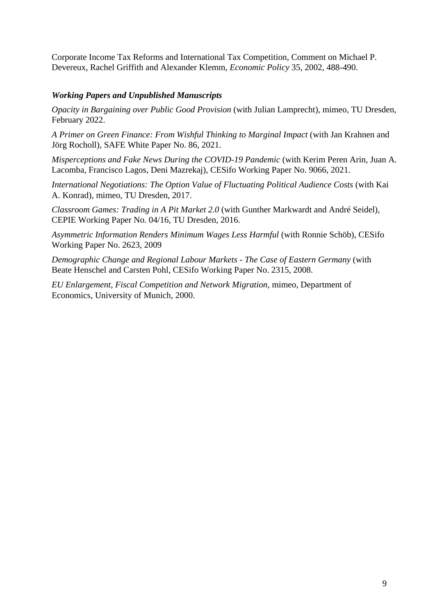Corporate Income Tax Reforms and International Tax Competition, Comment on Michael P. Devereux, Rachel Griffith and Alexander Klemm, *Economic Policy* 35, 2002, 488-490.

### *Working Papers and Unpublished Manuscripts*

*Opacity in Bargaining over Public Good Provision* (with Julian Lamprecht), mimeo, TU Dresden, February 2022.

*A Primer on Green Finance: From Wishful Thinking to Marginal Impact* (with Jan Krahnen and Jörg Rocholl), SAFE White Paper No. 86, 2021.

*Misperceptions and Fake News During the COVID-19 Pandemic* (with Kerim Peren Arin, Juan A. Lacomba, Francisco Lagos, Deni Mazrekaj), CESifo Working Paper No. 9066, 2021.

*International Negotiations: The Option Value of Fluctuating Political Audience Costs* (with Kai A. Konrad), mimeo, TU Dresden, 2017.

*Classroom Games: Trading in A Pit Market 2.0* (with Gunther Markwardt and André Seidel)*,*  CEPIE Working Paper No. 04/16, TU Dresden, 2016.

*Asymmetric Information Renders Minimum Wages Less Harmful* (with Ronnie Schöb), CESifo Working Paper No. 2623, 2009

*Demographic Change and Regional Labour Markets - The Case of Eastern Germany* (with Beate Henschel and Carsten Pohl, CESifo Working Paper No. 2315, 2008.

*EU Enlargement, Fiscal Competition and Network Migration*, mimeo, Department of Economics, University of Munich, 2000.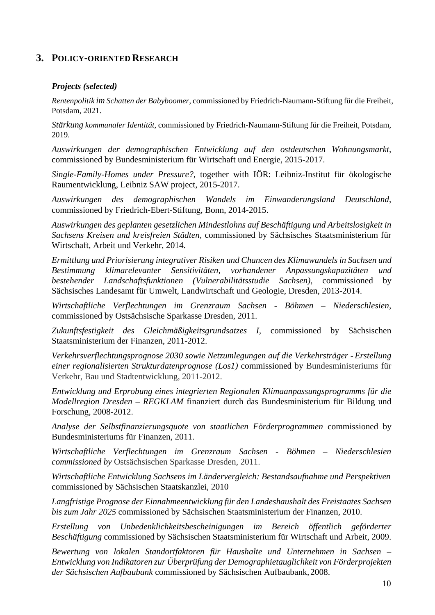## **3. POLICY-ORIENTED RESEARCH**

#### *Projects (selected)*

*Rentenpolitik im Schatten der Babyboomer,* commissioned by Friedrich-Naumann-Stiftung für die Freiheit, Potsdam, 2021.

*Stärkung kommunaler Identität*, commissioned by Friedrich-Naumann-Stiftung für die Freiheit, Potsdam, 2019.

*Auswirkungen der demographischen Entwicklung auf den ostdeutschen Wohnungsmarkt,*  commissioned by Bundesministerium für Wirtschaft und Energie, 2015-2017.

*Single-Family-Homes under Pressure?*, together with IÖR: Leibniz-Institut für ökologische Raumentwicklung, Leibniz SAW project, 2015-2017.

*Auswirkungen des demographischen Wandels im Einwanderungsland Deutschland*, commissioned by Friedrich-Ebert-Stiftung, Bonn, 2014-2015.

*Auswirkungen des geplanten gesetzlichen Mindestlohns auf Beschäftigung und Arbeitslosigkeit in Sachsens Kreisen und kreisfreien Städten,* commissioned by Sächsisches Staatsministerium für Wirtschaft, Arbeit und Verkehr, 2014.

*Ermittlung und Priorisierung integrativer Risiken und Chancen des Klimawandels in Sachsen und Bestimmung klimarelevanter Sensitivitäten, vorhandener Anpassungskapazitäten und bestehender Landschaftsfunktionen (Vulnerabilitätsstudie Sachsen),* commissioned by Sächsisches Landesamt für Umwelt, Landwirtschaft und Geologie, Dresden, 2013-2014.

*Wirtschaftliche Verflechtungen im Grenzraum Sachsen - Böhmen – Niederschlesien*, commissioned by Ostsächsische Sparkasse Dresden, 2011.

*Zukunftsfestigkeit des Gleichmäßigkeitsgrundsatzes I,* commissioned by Sächsischen Staatsministerium der Finanzen, 2011-2012.

*Verkehrsverflechtungsprognose 2030 sowie Netzumlegungen auf die Verkehrsträger - Erstellung einer regionalisierten Strukturdatenprognose (Los1)* commissioned by Bundesministeriums für Verkehr, Bau und Stadtentwicklung, 2011-2012.

*Entwicklung und Erprobung eines integrierten Regionalen Klimaanpassungsprogramms für die Modellregion Dresden – REGKLAM* finanziert durch das Bundesministerium für Bildung und Forschung, 2008-2012.

*Analyse der Selbstfinanzierungsquote von staatlichen Förderprogrammen* commissioned by Bundesministeriums für Finanzen, 2011.

*Wirtschaftliche Verflechtungen im Grenzraum Sachsen - Böhmen – Niederschlesien commissioned by* Ostsächsischen Sparkasse Dresden, 2011.

*Wirtschaftliche Entwicklung Sachsens im Ländervergleich: Bestandsaufnahme und Perspektiven* commissioned by Sächsischen Staatskanzlei, 2010

*[Langfristige Prognose der Einnahmeentwicklung für den Landeshaushalt des Freistaates](http://www.cesifo-group.de/link/_publdrstud/dresden-studien57-abstract.htm) [Sachsen](http://www.cesifo-group.de/link/_publdrstud/dresden-studien57-abstract.htm)  [bis zum Jahr 2025](http://www.cesifo-group.de/link/_publdrstud/dresden-studien57-abstract.htm)* commissioned by Sächsischen Staatsministerium der Finanzen, 2010.

*[Erstellung von Unbedenklichkeitsbescheinigungen im Bereich öffentlich geförderter](http://www.cesifo-group.de/link/_publdrstud/dresden-studien47-abstract.htm) [Beschäftigung](http://www.cesifo-group.de/link/_publdrstud/dresden-studien47-abstract.htm)* commissioned by Sächsischen Staatsministerium für Wirtschaft und Arbeit, 2009.

*Bewertung von lokalen Standortfaktoren für Haushalte und Unternehmen in Sachsen – Entwicklung von Indikatoren zur Überprüfung der Demographietauglichkeit von Förderprojekten der Sächsischen Aufbaubank* commissioned by Sächsischen Aufbaubank, 2008.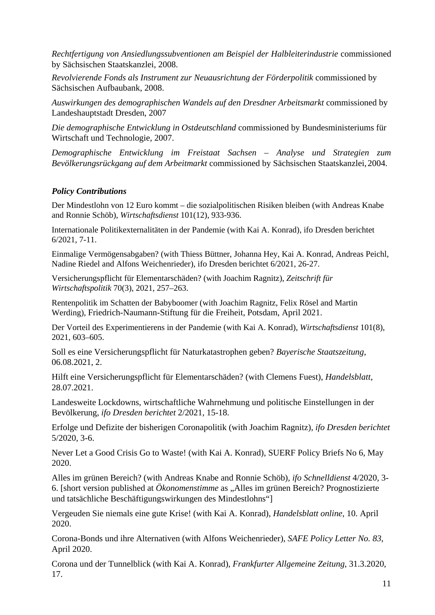*Rechtfertigung von Ansiedlungssubventionen am Beispiel der Halbleiterindustrie* commissioned by Sächsischen Staatskanzlei, 2008.

*Revolvierende Fonds als Instrument zur Neuausrichtung der Förderpolitik* commissioned by Sächsischen Aufbaubank, 2008.

*Auswirkungen des demographischen Wandels auf den Dresdner Arbeitsmarkt* commissioned by Landeshauptstadt Dresden, 2007

*Die demographische Entwicklung in Ostdeutschland* commissioned by Bundesministeriums für Wirtschaft und Technologie, 2007.

*Demographische Entwicklung im Freistaat Sachsen – Analyse und Strategien zum Bevölkerungsrückgang auf dem Arbeitmarkt* commissioned by Sächsischen Staatskanzlei, 2004.

### *Policy Contributions*

Der Mindestlohn von 12 Euro kommt – die sozialpolitischen Risiken bleiben (with Andreas Knabe and Ronnie Schöb), *Wirtschaftsdienst* 101(12), 933-936.

Internationale Politikexternalitäten in der Pandemie (with Kai A. Konrad), ifo Dresden berichtet 6/2021, 7-11.

Einmalige Vermögensabgaben? (with Thiess Büttner, Johanna Hey, Kai A. Konrad, Andreas Peichl, Nadine Riedel and Alfons Weichenrieder), ifo Dresden berichtet 6/2021, 26-27.

Versicherungspflicht für Elementarschäden? (with Joachim Ragnitz), *Zeitschrift für Wirtschaftspolitik* 70(3), 2021, 257–263.

Rentenpolitik im Schatten der Babyboomer (with Joachim Ragnitz, Felix Rösel and Martin Werding), Friedrich-Naumann-Stiftung für die Freiheit, Potsdam, April 2021.

Der Vorteil des Experimentierens in der Pandemie (with Kai A. Konrad), *Wirtschaftsdienst* 101(8), 2021, 603–605.

Soll es eine Versicherungspflicht für Naturkatastrophen geben? *Bayerische Staatszeitung*, 06.08.2021, 2.

Hilft eine Versicherungspflicht für Elementarschäden? (with Clemens Fuest), *Handelsblatt*, 28.07.2021.

Landesweite Lockdowns, wirtschaftliche Wahrnehmung und politische Einstellungen in der Bevölkerung, *ifo Dresden berichtet* 2/2021, 15-18.

Erfolge und Defizite der bisherigen Coronapolitik (with Joachim Ragnitz), *ifo Dresden berichtet* 5/2020, 3-6.

Never Let a Good Crisis Go to Waste! (with Kai A. Konrad), SUERF Policy Briefs No 6, May 2020.

Alles im grünen Bereich? (with Andreas Knabe and Ronnie Schöb)*, ifo Schnelldienst* 4/2020, 3- 6. [short version published at *Ökonomenstimme* as "Alles im grünen Bereich? Prognostizierte und tatsächliche Beschäftigungswirkungen des Mindestlohns"]

Vergeuden Sie niemals eine gute Krise! (with Kai A. Konrad), *Handelsblatt online*, 10. April 2020.

Corona-Bonds und ihre Alternativen (with Alfons Weichenrieder), *SAFE Policy Letter No. 83*, April 2020.

Corona und der Tunnelblick (with Kai A. Konrad), *Frankfurter Allgemeine Zeitung*, 31.3.2020, 17.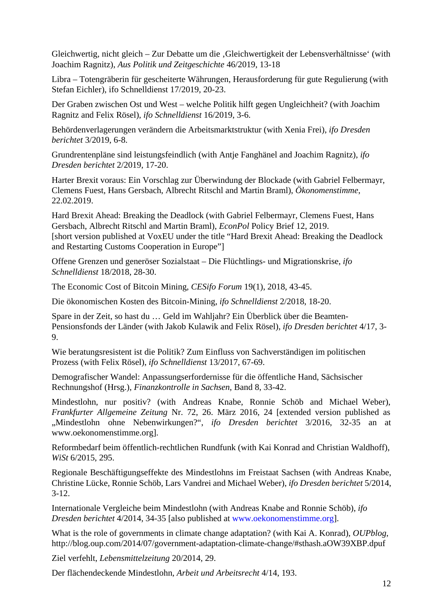Gleichwertig, nicht gleich – Zur Debatte um die , Gleichwertigkeit der Lebensverhältnisse' (with Joachim Ragnitz), *Aus Politik und Zeitgeschichte* 46/2019, 13-18

Libra – Totengräberin für gescheiterte Währungen, Herausforderung für gute Regulierung (with Stefan Eichler), ifo Schnelldienst 17/2019, 20-23.

Der Graben zwischen Ost und West – welche Politik hilft gegen Ungleichheit? (with Joachim Ragnitz and Felix Rösel), *ifo Schnelldienst* 16/2019, 3-6.

Behördenverlagerungen verändern die Arbeitsmarktstruktur (with Xenia Frei), *ifo Dresden berichtet* 3/2019, 6-8.

Grundrentenpläne sind leistungsfeindlich (with Antje Fanghänel and Joachim Ragnitz), *ifo Dresden berichtet* 2/2019, 17-20.

Harter Brexit voraus: Ein Vorschlag zur Überwindung der Blockade (with Gabriel Felbermayr, Clemens Fuest, Hans Gersbach, Albrecht Ritschl and Martin Braml), *Ökonomenstimme*, 22.02.2019.

Hard Brexit Ahead: Breaking the Deadlock (with Gabriel Felbermayr, Clemens Fuest, Hans Gersbach, Albrecht Ritschl and Martin Braml), *EconPol* Policy Brief 12, 2019. [short version published at VoxEU under the title "Hard Brexit Ahead: Breaking the Deadlock and Restarting Customs Cooperation in Europe"]

Offene Grenzen und generöser Sozialstaat – Die Flüchtlings- und Migrationskrise, *ifo Schnelldienst* 18/2018, 28-30.

The Economic Cost of Bitcoin Mining, *CESifo Forum* 19(1), 2018, 43-45.

Die ökonomischen Kosten des Bitcoin-Mining, *ifo Schnelldienst* 2/2018, 18-20.

Spare in der Zeit, so hast du … Geld im Wahljahr? Ein Überblick über die Beamten-Pensionsfonds der Länder (with Jakob Kulawik and Felix Rösel), *ifo Dresden berichtet* 4/17, 3- 9.

Wie beratungsresistent ist die Politik? Zum Einfluss von Sachverständigen im politischen Prozess (with Felix Rösel), *ifo Schnelldienst* 13/2017, 67-69.

Demografischer Wandel: Anpassungserfordernisse für die öffentliche Hand, Sächsischer Rechnungshof (Hrsg.), *Finanzkontrolle in Sachsen*, Band 8, 33-42.

Mindestlohn, nur positiv? (with Andreas Knabe, Ronnie Schöb and Michael Weber), *Frankfurter Allgemeine Zeitung* Nr. 72, 26. März 2016, 24 [extended version published as "Mindestlohn ohne Nebenwirkungen?", *ifo Dresden berichtet* 3/2016, 32-35 an at [www.oekonomenstimme.org\]](http://www.oekonomenstimme.org/).

Reformbedarf beim öffentlich-rechtlichen Rundfunk (with Kai Konrad and Christian Waldhoff), *WiSt* 6/2015, 295.

Regionale Beschäftigungseffekte des Mindestlohns im Freistaat Sachsen (with Andreas Knabe, Christine Lücke, Ronnie Schöb, Lars Vandrei and Michael Weber), *ifo Dresden berichtet* 5/2014,  $3 - 12.$ 

Internationale Vergleiche beim Mindestlohn (with Andreas Knabe and Ronnie Schöb), *ifo Dresden berichtet* 4/2014, 34-35 [also published at [www.oekonomenstimme.org\]](http://www.oekonomenstimme.org/).

What is the role of governments in climate change adaptation? (with Kai A. Konrad), *OUPblog*, <http://blog.oup.com/2014/07/government-adaptation-climate-change/#sthash.aOW39XBP.dpuf>

Ziel verfehlt, *Lebensmittelzeitung* 20/2014, 29.

Der flächendeckende Mindestlohn, *Arbeit und Arbeitsrecht* 4/14, 193.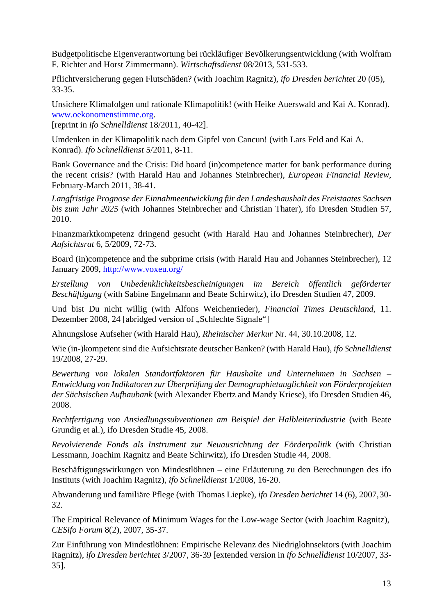Budgetpolitische Eigenverantwortung bei rückläufiger Bevölkerungsentwicklung (with Wolfram F. Richter and Horst Zimmermann). *Wirtschaftsdienst* 08/2013, 531-533.

Pflichtversicherung gegen Flutschäden? (with Joachim Ragnitz), *ifo Dresden berichtet* 20 (05), 33-35.

Unsichere Klimafolgen und rationale Klimapolitik! (with Heike Auerswald and Kai A. Konrad). [www.oekonomenstimme.org.](http://www.oekonomenstimme.org/)

[reprint in *ifo Schnelldienst* 18/2011, 40-42].

Umdenken in der Klimapolitik nach dem Gipfel von Cancun! (with Lars Feld and Kai A. Konrad). *Ifo Schnelldienst* 5/2011, 8-11.

Bank Governance and the Crisis: Did board (in)competence matter for bank performance during the recent crisis? (with Harald Hau and Johannes Steinbrecher), *European Financial Review*, February-March 2011, 38-41.

*[Langfristige Prognose der Einnahmeentwicklung für den Landeshaushalt des Freistaates](http://www.cesifo-group.de/link/_publdrstud/dresden-studien57-abstract.htm) [Sachsen](http://www.cesifo-group.de/link/_publdrstud/dresden-studien57-abstract.htm)  [bis zum Jahr 2025](http://www.cesifo-group.de/link/_publdrstud/dresden-studien57-abstract.htm)* (with Johannes Steinbrecher and Christian Thater), ifo Dresden Studien 57, 2010.

Finanzmarktkompetenz dringend gesucht (with Harald Hau and Johannes Steinbrecher), *Der Aufsichtsrat* 6, 5/2009, 72-73.

Board (in)competence and the subprime crisis (with Harald Hau and Johannes Steinbrecher), 12 January 2009,<http://www.voxeu.org/>

*[Erstellung von Unbedenklichkeitsbescheinigungen im Bereich öffentlich geförderter](http://www.cesifo-group.de/link/_publdrstud/dresden-studien47-abstract.htm) [Beschäftigung](http://www.cesifo-group.de/link/_publdrstud/dresden-studien47-abstract.htm)* (with Sabine Engelmann and Beate Schirwitz), ifo Dresden Studien 47, 2009.

Und bist Du nicht willig (with Alfons Weichenrieder), *Financial Times Deutschland*, 11. Dezember 2008, 24 [abridged version of "Schlechte Signale"]

Ahnungslose Aufseher (with Harald Hau), *Rheinischer Merkur* Nr. 44, 30.10.2008, 12.

Wie (in-)kompetent sind die Aufsichtsrate deutscher Banken? (with Harald Hau), *ifo Schnelldienst*  19/2008, 27-29.

*Bewertung von lokalen Standortfaktoren für Haushalte und Unternehmen in Sachsen – Entwicklung von Indikatoren zur Überprüfung der Demographietauglichkeit von Förderprojekten der Sächsischen Aufbaubank* (with Alexander Ebertz and Mandy Kriese), ifo Dresden Studien 46, 2008.

*Rechtfertigung von Ansiedlungssubventionen am Beispiel der Halbleiterindustrie* (with Beate Grundig et al.), ifo Dresden Studie 45, 2008.

*Revolvierende Fonds als Instrument zur Neuausrichtung der Förderpolitik* (with Christian Lessmann, Joachim Ragnitz and Beate Schirwitz), ifo Dresden Studie 44, 2008.

Beschäftigungswirkungen von Mindestlöhnen – eine Erläuterung zu den Berechnungen des ifo Instituts (with Joachim Ragnitz), *ifo Schnelldienst* 1/2008, 16-20.

Abwanderung und familiäre Pflege (with Thomas Liepke), *ifo Dresden berichtet* 14 (6), 2007,30- 32.

The Empirical Relevance of Minimum Wages for the Low-wage Sector (with Joachim Ragnitz), *CESifo Forum* 8(2), 2007, 35-37.

Zur Einführung von Mindestlöhnen: Empirische Relevanz des Niedriglohnsektors (with Joachim Ragnitz), *ifo Dresden berichtet* 3/2007, 36-39 [extended version in *ifo Schnelldienst* 10/2007, 33- 35].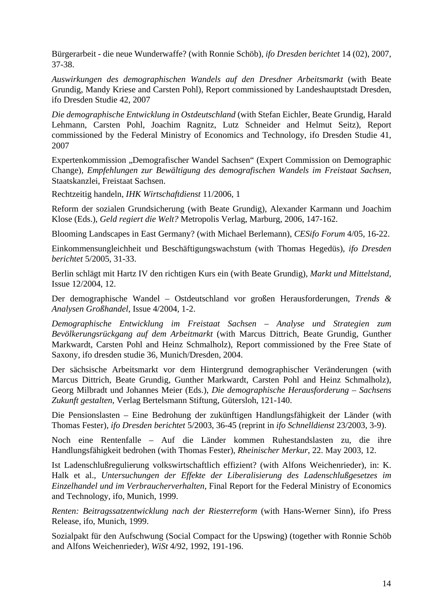Bürgerarbeit - die neue Wunderwaffe? (with Ronnie Schöb), *ifo Dresden berichtet* 14 (02), 2007, 37-38.

*Auswirkungen des demographischen Wandels auf den Dresdner Arbeitsmarkt* (with Beate Grundig, Mandy Kriese and Carsten Pohl), Report commissioned by Landeshauptstadt Dresden, ifo Dresden Studie 42, 2007

*Die demographische Entwicklung in Ostdeutschland* (with Stefan Eichler, Beate Grundig, Harald Lehmann, Carsten Pohl, Joachim Ragnitz, Lutz Schneider and Helmut Seitz), Report commissioned by the Federal Ministry of Economics and Technology, ifo Dresden Studie 41, 2007

Expertenkommission "Demografischer Wandel Sachsen" (Expert Commission on Demographic Change), *Empfehlungen zur Bewältigung des demografischen Wandels im Freistaat Sachsen*, Staatskanzlei, Freistaat Sachsen.

Rechtzeitig handeln, *IHK Wirtschaftdienst* 11/2006, 1

Reform der sozialen Grundsicherung (with Beate Grundig), Alexander Karmann und Joachim Klose (Eds.), *Geld regiert die Welt?* Metropolis Verlag, Marburg, 2006, 147-162.

Blooming Landscapes in East Germany? (with Michael Berlemann), *CESifo Forum* 4/05, 16-22.

Einkommensungleichheit und Beschäftigungswachstum (with Thomas Hegedüs), *ifo Dresden berichtet* 5/2005, 31-33.

Berlin schlägt mit Hartz IV den richtigen Kurs ein (with Beate Grundig), *Markt und Mittelstand*, Issue 12/2004, 12.

Der demographische Wandel – Ostdeutschland vor großen Herausforderungen, *Trends & Analysen Großhandel*, Issue 4/2004, 1-2.

*Demographische Entwicklung im Freistaat Sachsen – Analyse und Strategien zum Bevölkerungsrückgang auf dem Arbeitmarkt* (with Marcus Dittrich, Beate Grundig, Gunther Markwardt, Carsten Pohl and Heinz Schmalholz), Report commissioned by the Free State of Saxony, ifo dresden studie 36, Munich/Dresden, 2004.

Der sächsische Arbeitsmarkt vor dem Hintergrund demographischer Veränderungen (with Marcus Dittrich, Beate Grundig, Gunther Markwardt, Carsten Pohl and Heinz Schmalholz), Georg Milbradt und Johannes Meier (Eds.), *Die demographische Herausforderung – Sachsens Zukunft gestalten*, Verlag Bertelsmann Stiftung, Gütersloh, 121-140.

Die Pensionslasten – Eine Bedrohung der zukünftigen Handlungsfähigkeit der Länder (with Thomas Fester), *ifo Dresden berichtet* 5/2003, 36-45 (reprint in *ifo Schnelldienst* 23/2003, 3-9).

Noch eine Rentenfalle – Auf die Länder kommen Ruhestandslasten zu, die ihre Handlungsfähigkeit bedrohen (with Thomas Fester), *Rheinischer Merkur*, 22. May 2003, 12.

Ist Ladenschlußregulierung volkswirtschaftlich effizient? (with Alfons Weichenrieder), in: K. Halk et al., *Untersuchungen der Effekte der Liberalisierung des Ladenschlußgesetzes im Einzelhandel und im Verbraucherverhalten*, Final Report for the Federal Ministry of Economics and Technology, ifo, Munich, 1999.

*Renten: Beitragssatzentwicklung nach der Riesterreform* (with Hans-Werner Sinn), ifo Press Release, ifo, Munich, 1999.

Sozialpakt für den Aufschwung (Social Compact for the Upswing) (together with Ronnie Schöb and Alfons Weichenrieder), *WiSt* 4/92, 1992, 191-196.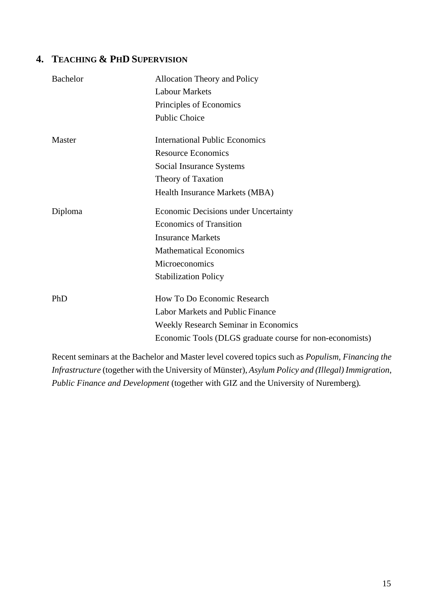# **4. TEACHING & PHD SUPERVISION**

| <b>Bachelor</b> | <b>Allocation Theory and Policy</b><br><b>Labour Markets</b><br>Principles of Economics<br><b>Public Choice</b> |
|-----------------|-----------------------------------------------------------------------------------------------------------------|
| Master          | <b>International Public Economics</b><br><b>Resource Economics</b>                                              |
|                 | Social Insurance Systems                                                                                        |
|                 | Theory of Taxation                                                                                              |
|                 | Health Insurance Markets (MBA)                                                                                  |
| Diploma         | Economic Decisions under Uncertainty                                                                            |
|                 | <b>Economics of Transition</b>                                                                                  |
|                 | <b>Insurance Markets</b>                                                                                        |
|                 | <b>Mathematical Economics</b>                                                                                   |
|                 | Microeconomics                                                                                                  |
|                 | <b>Stabilization Policy</b>                                                                                     |
| PhD             | How To Do Economic Research                                                                                     |
|                 | <b>Labor Markets and Public Finance</b>                                                                         |
|                 | <b>Weekly Research Seminar in Economics</b>                                                                     |
|                 | Economic Tools (DLGS graduate course for non-economists)                                                        |
|                 |                                                                                                                 |

Recent seminars at the Bachelor and Master level covered topics such as *Populism, Financing the Infrastructure* (together with the University of Münster), *Asylum Policy and (Illegal) Immigration*, *Public Finance and Development* (together with GIZ and the University of Nuremberg)*.*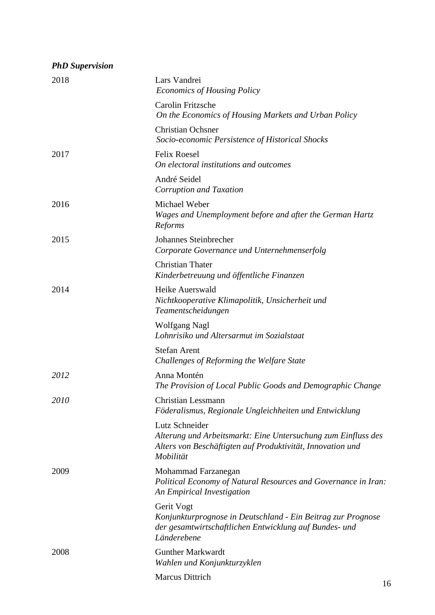| <b>PhD</b> Supervision |                                                                                                                                                            |
|------------------------|------------------------------------------------------------------------------------------------------------------------------------------------------------|
| 2018                   | Lars Vandrei<br><b>Economics of Housing Policy</b>                                                                                                         |
|                        | <b>Carolin Fritzsche</b><br>On the Economics of Housing Markets and Urban Policy                                                                           |
|                        | <b>Christian Ochsner</b><br>Socio-economic Persistence of Historical Shocks                                                                                |
| 2017                   | <b>Felix Roesel</b><br>On electoral institutions and outcomes                                                                                              |
|                        | André Seidel<br>Corruption and Taxation                                                                                                                    |
| 2016                   | Michael Weber<br>Wages and Unemployment before and after the German Hartz<br>Reforms                                                                       |
| 2015                   | Johannes Steinbrecher<br>Corporate Governance und Unternehmenserfolg                                                                                       |
|                        | <b>Christian Thater</b><br>Kinderbetreuung und öffentliche Finanzen                                                                                        |
| 2014                   | Heike Auerswald<br>Nichtkooperative Klimapolitik, Unsicherheit und<br>Teamentscheidungen                                                                   |
|                        | <b>Wolfgang Nagl</b><br>Lohnrisiko und Altersarmut im Sozialstaat                                                                                          |
|                        | <b>Stefan Arent</b><br>Challenges of Reforming the Welfare State                                                                                           |
| 2012                   | Anna Montén<br>The Provision of Local Public Goods and Demographic Change                                                                                  |
| <i>2010</i>            | <b>Christian Lessmann</b><br>Föderalismus, Regionale Ungleichheiten und Entwicklung                                                                        |
|                        | Lutz Schneider<br>Alterung und Arbeitsmarkt: Eine Untersuchung zum Einfluss des<br>Alters von Beschäftigten auf Produktivität, Innovation und<br>Mobilität |
| 2009                   | Mohammad Farzanegan<br>Political Economy of Natural Resources and Governance in Iran:<br>An Empirical Investigation                                        |
|                        | Gerit Vogt<br>Konjunkturprognose in Deutschland - Ein Beitrag zur Prognose<br>der gesamtwirtschaftlichen Entwicklung auf Bundes- und<br>Länderebene        |
| 2008                   | <b>Gunther Markwardt</b><br>Wahlen und Konjunkturzyklen                                                                                                    |
|                        | <b>Marcus Dittrich</b>                                                                                                                                     |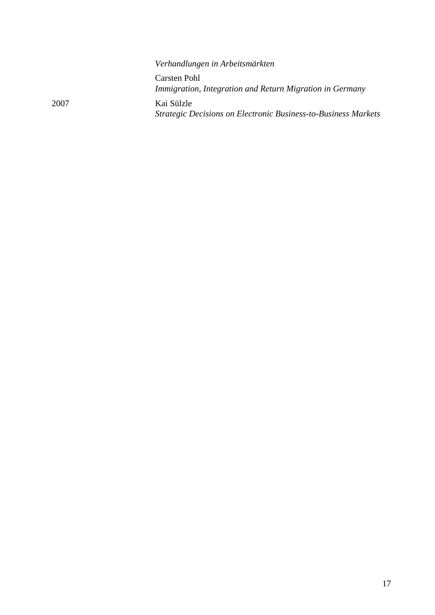|      | Verhandlungen in Arbeitsmärkten                                              |
|------|------------------------------------------------------------------------------|
|      | Carsten Pohl<br>Immigration, Integration and Return Migration in Germany     |
| 2007 | Kai Sülzle<br>Strategic Decisions on Electronic Business-to-Business Markets |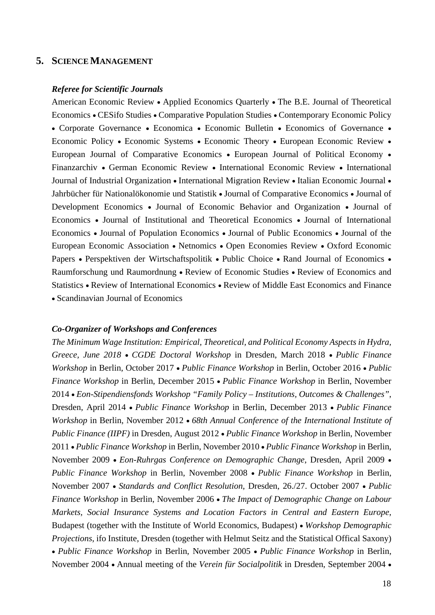### **5. SCIENCEMANAGEMENT**

#### *Referee for Scientific Journals*

American Economic Review • Applied Economics Quarterly • The B.E. Journal of Theoretical Economics • CESifo Studies • Comparative Population Studies • Contemporary Economic Policy • Corporate Governance • Economica • Economic Bulletin • Economics of Governance • Economic Policy • Economic Systems • Economic Theory • European Economic Review • European Journal of Comparative Economics • European Journal of Political Economy • Finanzarchiv • German Economic Review • International Economic Review • International Journal of Industrial Organization • International Migration Review • Italian Economic Journal • Jahrbücher für Nationalökonomie und Statistik • Journal of Comparative Economics • Journal of Development Economics • Journal of Economic Behavior and Organization • Journal of Economics • Journal of Institutional and Theoretical Economics • Journal of International Economics • Journal of Population Economics • Journal of Public Economics • Journal of the European Economic Association • Netnomics • Open Economies Review • Oxford Economic Papers • Perspektiven der Wirtschaftspolitik • Public Choice • Rand Journal of Economics • Raumforschung und Raumordnung • Review of Economic Studies • Review of Economics and Statistics • Review of International Economics • Review of Middle East Economics and Finance • Scandinavian Journal of Economics

#### *Co-Organizer of Workshops and Conferences*

*The Minimum Wage Institution: Empirical, Theoretical, and Political Economy Aspects in Hydra, Greece, June 2018* • *CGDE Doctoral Workshop* in Dresden, March 2018 • *Public Finance Workshop* in Berlin, October 2017 • *Public Finance Workshop* in Berlin, October 2016 • *Public Finance Workshop* in Berlin, December 2015 • *Public Finance Workshop* in Berlin, November 2014 • *Eon-Stipendiensfonds Workshop "Family Policy – Institutions, Outcomes & Challenges"*, Dresden, April 2014 • *Public Finance Workshop* in Berlin, December 2013 • *Public Finance Workshop* in Berlin, November 2012 • *68th Annual Conference of the International Institute of Public Finance (IIPF)* in Dresden, August 2012 • *Public Finance Workshop* in Berlin, November 2011 • *Public Finance Workshop* in Berlin, November 2010 • *Public Finance Workshop* in Berlin, November 2009 • *Eon-Ruhrgas Conference on Demographic Change*, Dresden, April 2009 • *Public Finance Workshop* in Berlin, November 2008 • *Public Finance Workshop* in Berlin, November 2007 • *Standards and Conflict Resolution*, Dresden, 26./27. October 2007 • *Public Finance Workshop* in Berlin, November 2006 • *The Impact of Demographic Change on Labour Markets, Social Insurance Systems and Location Factors in Central and Eastern Europe*, Budapest (together with the Institute of World Economics, Budapest) • *Workshop Demographic Projections*, ifo Institute, Dresden (together with Helmut Seitz and the Statistical Offical Saxony) • *Public Finance Workshop* in Berlin, November 2005 • *Public Finance Workshop* in Berlin, November 2004 • Annual meeting of the *Verein für Socialpolitik* in Dresden, September 2004 •